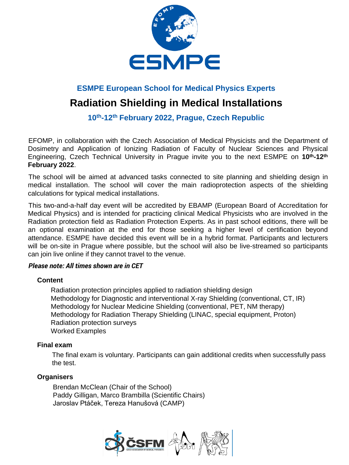

### **ESMPE European School for Medical Physics Experts**

# **Radiation Shielding in Medical Installations**

**10th-12th February 2022, Prague, Czech Republic**

EFOMP, in collaboration with the Czech Association of Medical Physicists and the Department of Dosimetry and Application of Ionizing Radiation of Faculty of Nuclear Sciences and Physical Engineering, Czech Technical University in Prague invite you to the next ESMPE on **10th-12th February 2022**.

The school will be aimed at advanced tasks connected to site planning and shielding design in medical installation. The school will cover the main radioprotection aspects of the shielding calculations for typical medical installations.

This two-and-a-half day event will be accredited by EBAMP (European Board of Accreditation for Medical Physics) and is intended for practicing clinical Medical Physicists who are involved in the Radiation protection field as Radiation Protection Experts. As in past school editions, there will be an optional examination at the end for those seeking a higher level of certification beyond attendance. ESMPE have decided this event will be in a hybrid format. Participants and lecturers will be on-site in Prague where possible, but the school will also be live-streamed so participants can join live online if they cannot travel to the venue.

#### *Please note: All times shown are in CET*

#### **Content**

Radiation protection principles applied to radiation shielding design Methodology for Diagnostic and interventional X-ray Shielding (conventional, CT, IR) Methodology for Nuclear Medicine Shielding (conventional, PET, NM therapy) Methodology for Radiation Therapy Shielding (LINAC, special equipment, Proton) Radiation protection surveys Worked Examples

#### **Final exam**

The final exam is voluntary. Participants can gain additional credits when successfully pass the test.

#### **Organisers**

Brendan McClean (Chair of the School) Paddy Gilligan, Marco Brambilla (Scientific Chairs) Jaroslav Ptáček, Tereza Hanušová (CAMP)

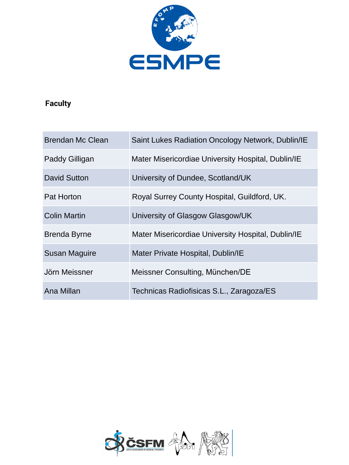

## **Faculty**

| <b>Brendan Mc Clean</b> | Saint Lukes Radiation Oncology Network, Dublin/IE  |
|-------------------------|----------------------------------------------------|
| Paddy Gilligan          | Mater Misericordiae University Hospital, Dublin/IE |
| David Sutton            | University of Dundee, Scotland/UK                  |
| <b>Pat Horton</b>       | Royal Surrey County Hospital, Guildford, UK.       |
| <b>Colin Martin</b>     | University of Glasgow Glasgow/UK                   |
| <b>Brenda Byrne</b>     | Mater Misericordiae University Hospital, Dublin/IE |
| <b>Susan Maguire</b>    | Mater Private Hospital, Dublin/IE                  |
| Jörn Meissner           | Meissner Consulting, München/DE                    |
| Ana Millan              | Technicas Radiofisicas S.L., Zaragoza/ES           |

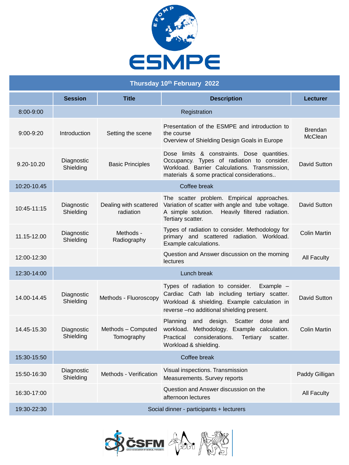

| Thursday 10th February 2022 |                         |                                     |                                                                                                                                                                                             |                                  |
|-----------------------------|-------------------------|-------------------------------------|---------------------------------------------------------------------------------------------------------------------------------------------------------------------------------------------|----------------------------------|
|                             | <b>Session</b>          | <b>Title</b>                        | <b>Description</b>                                                                                                                                                                          | <b>Lecturer</b>                  |
| 8:00-9:00                   | Registration            |                                     |                                                                                                                                                                                             |                                  |
| $9:00 - 9:20$               | Introduction            | Setting the scene                   | Presentation of the ESMPE and introduction to<br>the course<br>Overview of Shielding Design Goals in Europe                                                                                 | <b>Brendan</b><br><b>McClean</b> |
| $9.20 - 10.20$              | Diagnostic<br>Shielding | <b>Basic Principles</b>             | Dose limits & constraints. Dose quantities.<br>Occupancy. Types of radiation to consider.<br>Workload. Barrier Calculations. Transmission,<br>materials & some practical considerations     | David Sutton                     |
| 10:20-10.45                 |                         |                                     | Coffee break                                                                                                                                                                                |                                  |
| 10:45-11:15                 | Diagnostic<br>Shielding | Dealing with scattered<br>radiation | The scatter problem. Empirical approaches.<br>Variation of scatter with angle and tube voltage.<br>Heavily filtered radiation.<br>A simple solution.<br>Tertiary scatter.                   | David Sutton                     |
| 11.15-12.00                 | Diagnostic<br>Shielding | Methods -<br>Radiography            | Types of radiation to consider. Methodology for<br>primary and scattered radiation. Workload.<br>Example calculations.                                                                      | Colin Martin                     |
| 12:00-12:30                 |                         |                                     | Question and Answer discussion on the morning<br>lectures                                                                                                                                   | <b>All Faculty</b>               |
| 12:30-14:00                 |                         |                                     | Lunch break                                                                                                                                                                                 |                                  |
| 14.00-14.45                 | Diagnostic<br>Shielding | Methods - Fluoroscopy               | Types of radiation to consider.<br>Example $-$<br>Cardiac Cath lab including tertiary scatter.<br>Workload & shielding. Example calculation in<br>reverse -no additional shielding present. | David Sutton                     |
| 14.45-15.30                 | Diagnostic<br>Shielding | Methods - Computed<br>Tomography    | and design.<br>Scatter<br>dose and<br>Planning<br>Methodology. Example calculation.<br>workload.<br>Practical<br>considerations.<br>Tertiary<br>scatter.<br>Workload & shielding.           | Colin Martin                     |
| 15:30-15:50                 |                         |                                     | Coffee break                                                                                                                                                                                |                                  |
| 15:50-16:30                 | Diagnostic<br>Shielding | Methods - Verification              | Visual inspections. Transmission<br>Measurements. Survey reports                                                                                                                            | Paddy Gilligan                   |
| 16:30-17:00                 |                         |                                     | Question and Answer discussion on the<br>afternoon lectures                                                                                                                                 | <b>All Faculty</b>               |
| 19:30-22:30                 |                         |                                     | Social dinner - participants + lecturers                                                                                                                                                    |                                  |

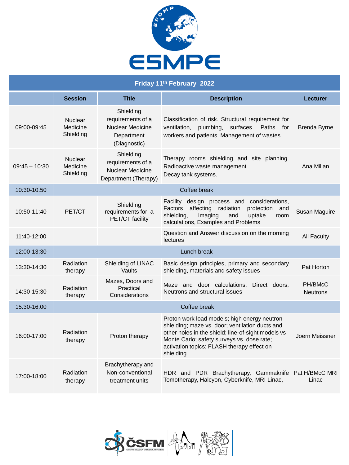

| Friday 11th February 2022 |                                         |                                                                                         |                                                                                                                                                                                                                                                                |                            |
|---------------------------|-----------------------------------------|-----------------------------------------------------------------------------------------|----------------------------------------------------------------------------------------------------------------------------------------------------------------------------------------------------------------------------------------------------------------|----------------------------|
|                           | <b>Session</b>                          | <b>Title</b>                                                                            | <b>Description</b>                                                                                                                                                                                                                                             | Lecturer                   |
| 09:00-09:45               | <b>Nuclear</b><br>Medicine<br>Shielding | Shielding<br>requirements of a<br><b>Nuclear Medicine</b><br>Department<br>(Diagnostic) | Classification of risk. Structural requirement for<br>plumbing.<br>surfaces.<br>Paths for<br>ventilation,<br>workers and patients. Management of wastes                                                                                                        | <b>Brenda Byrne</b>        |
| $09:45 - 10:30$           | <b>Nuclear</b><br>Medicine<br>Shielding | Shielding<br>requirements of a<br><b>Nuclear Medicine</b><br>Department (Therapy)       | Therapy rooms shielding and site planning.<br>Radioactive waste management.<br>Decay tank systems.                                                                                                                                                             | Ana Millan                 |
| 10:30-10.50               | Coffee break                            |                                                                                         |                                                                                                                                                                                                                                                                |                            |
| 10:50-11:40               | PET/CT                                  | Shielding<br>requirements for a<br>PET/CT facility                                      | Facility design process and considerations,<br>Factors affecting radiation<br>protection and<br>shielding,<br>Imaging<br>uptake<br>and<br>room<br>calculations, Examples and Problems                                                                          | Susan Maguire              |
| 11:40-12:00               |                                         |                                                                                         | Question and Answer discussion on the morning<br>lectures                                                                                                                                                                                                      | <b>All Faculty</b>         |
| 12:00-13:30               |                                         |                                                                                         | Lunch break                                                                                                                                                                                                                                                    |                            |
| 13:30-14:30               | Radiation<br>therapy                    | Shielding of LINAC<br>Vaults                                                            | Basic design principles, primary and secondary<br>shielding, materials and safety issues                                                                                                                                                                       | Pat Horton                 |
| 14:30-15:30               | Radiation<br>therapy                    | Mazes, Doors and<br>Practical<br>Considerations                                         | Maze and door calculations: Direct doors.<br>Neutrons and structural issues                                                                                                                                                                                    | PH/BMcC<br><b>Neutrons</b> |
| 15:30-16:00               | Coffee break                            |                                                                                         |                                                                                                                                                                                                                                                                |                            |
| 16:00-17:00               | Radiation<br>therapy                    | Proton therapy                                                                          | Proton work load models; high energy neutron<br>shielding; maze vs. door; ventilation ducts and<br>other holes in the shield; line-of-sight models vs<br>Monte Carlo; safety surveys vs. dose rate;<br>activation topics; FLASH therapy effect on<br>shielding | Joern Meissner             |
| 17:00-18:00               | Radiation<br>therapy                    | Brachytherapy and<br>Non-conventional<br>treatment units                                | HDR and PDR Brachytherapy, Gammaknife Pat H/BMcC MRI<br>Tomotherapy, Halcyon, Cyberknife, MRI Linac,                                                                                                                                                           | Linac                      |

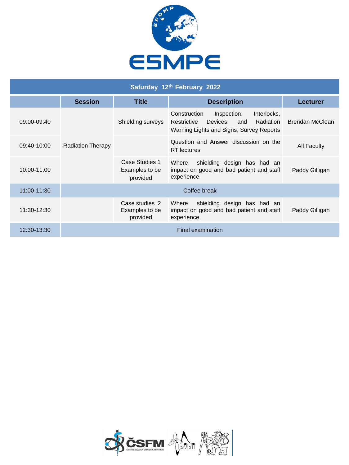

| Saturday 12th February 2022 |                          |                                              |                                                                                                                                    |                 |
|-----------------------------|--------------------------|----------------------------------------------|------------------------------------------------------------------------------------------------------------------------------------|-----------------|
|                             | <b>Session</b>           | <b>Title</b>                                 | <b>Description</b>                                                                                                                 | Lecturer        |
| 09:00-09:40                 | <b>Radiation Therapy</b> | Shielding surveys                            | Construction<br>Inspection;<br>Interlocks,<br>and Radiation<br>Restrictive<br>Devices.<br>Warning Lights and Signs; Survey Reports | Brendan McClean |
| 09:40-10:00                 |                          |                                              | Question and Answer discussion on the<br><b>RT</b> lectures                                                                        | All Faculty     |
| 10:00-11.00                 |                          | Case Studies 1<br>Examples to be<br>provided | shielding design has had an<br>Where<br>impact on good and bad patient and staff<br>experience                                     | Paddy Gilligan  |
| 11:00-11:30                 |                          |                                              | Coffee break                                                                                                                       |                 |
| 11:30-12:30                 |                          | Case studies 2<br>Examples to be<br>provided | shielding design has had an<br>Where<br>impact on good and bad patient and staff<br>experience                                     | Paddy Gilligan  |
| 12:30-13:30                 |                          |                                              | Final examination                                                                                                                  |                 |